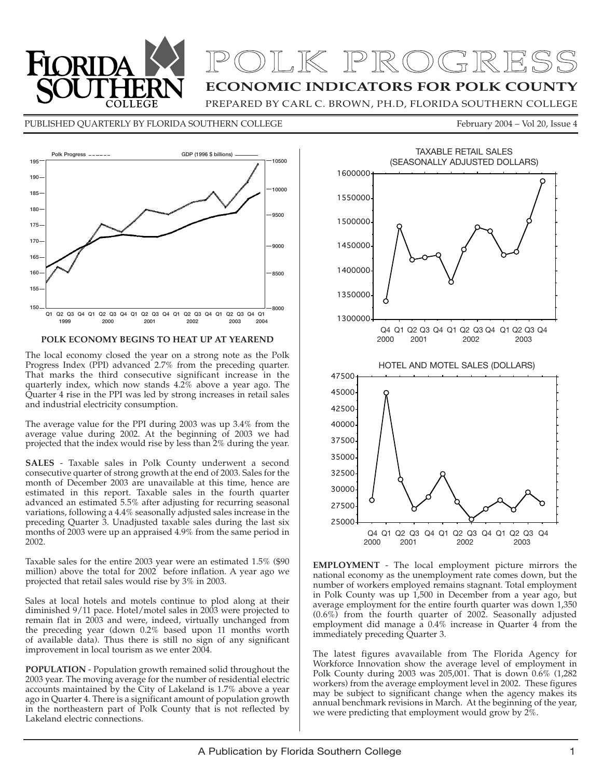

## **ECONOMIC INDICATORS FOR POLK COUNTY** POLK PROGRESS

PREPARED BY CARL C. BROWN, PH.D, FLORIDA SOUTHERN COLLEGE

PUBLISHED QUARTERLY BY FLORIDA SOUTHERN COLLEGE FEDERAL RESERVED February 2004 – Vol 20, Issue 4



#### **POLK ECONOMY BEGINS TO HEAT UP AT YEAREND**

The local economy closed the year on a strong note as the Polk Progress Index (PPI) advanced 2.7% from the preceding quarter. That marks the third consecutive significant increase in the quarterly index, which now stands 4.2% above a year ago. The Quarter 4 rise in the PPI was led by strong increases in retail sales and industrial electricity consumption.

The average value for the PPI during 2003 was up 3.4% from the average value during 2002. At the beginning of 2003 we had projected that the index would rise by less than 2% during the year.

**SALES** - Taxable sales in Polk County underwent a second consecutive quarter of strong growth at the end of 2003. Sales for the month of December 2003 are unavailable at this time, hence are estimated in this report. Taxable sales in the fourth quarter advanced an estimated 5.5% after adjusting for recurring seasonal variations, following a 4.4% seasonally adjusted sales increase in the preceding Quarter 3. Unadjusted taxable sales during the last six months of 2003 were up an appraised 4.9% from the same period in 2002.

Taxable sales for the entire 2003 year were an estimated 1.5% (\$90 million) above the total for 2002 before inflation. A year ago we projected that retail sales would rise by 3% in 2003.

Sales at local hotels and motels continue to plod along at their diminished 9/11 pace. Hotel/motel sales in 2003 were projected to remain flat in 2003 and were, indeed, virtually unchanged from the preceding year (down 0.2% based upon 11 months worth of available data). Thus there is still no sign of any significant improvement in local tourism as we enter 2004.

**POPULATION** - Population growth remained solid throughout the 2003 year. The moving average for the number of residential electric accounts maintained by the City of Lakeland is 1.7% above a year ago in Quarter 4. There is a significant amount of population growth in the northeastern part of Polk County that is not reflected by Lakeland electric connections.



**EMPLOYMENT** - The local employment picture mirrors the national economy as the unemployment rate comes down, but the number of workers employed remains stagnant. Total employment in Polk County was up 1,500 in December from a year ago, but average employment for the entire fourth quarter was down 1,350 (0.6%) from the fourth quarter of 2002. Seasonally adjusted employment did manage a 0.4% increase in Quarter 4 from the immediately preceding Quarter 3.

The latest figures avavailable from The Florida Agency for Workforce Innovation show the average level of employment in Polk County during 2003 was 205,001. That is down 0.6% (1,282 workers) from the average employment level in 2002. These figures may be subject to significant change when the agency makes its annual benchmark revisions in March. At the beginning of the year, we were predicting that employment would grow by 2%.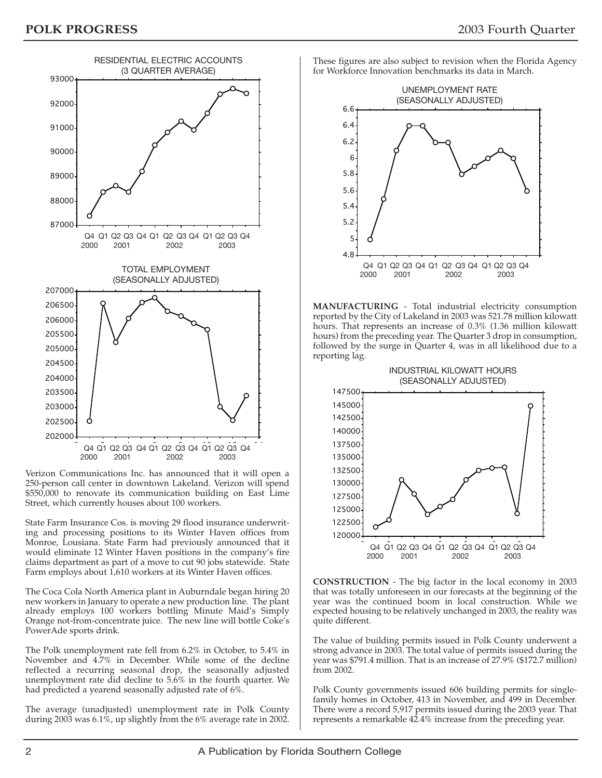

Verizon Communications Inc. has announced that it will open a 250-person call center in downtown Lakeland. Verizon will spend \$550,000 to renovate its communication building on East Lime Street, which currently houses about 100 workers.

State Farm Insurance Cos. is moving 29 flood insurance underwriting and processing positions to its Winter Haven offices from Monroe, Lousiana. State Farm had previously announced that it would eliminate 12 Winter Haven positions in the company's fire claims department as part of a move to cut 90 jobs statewide. State Farm employs about 1,610 workers at its Winter Haven offices.

The Coca Cola North America plant in Auburndale began hiring 20 new workers in January to operate a new production line. The plant already employs 100 workers bottling Minute Maid's Simply Orange not-from-concentrate juice. The new line will bottle Coke's PowerAde sports drink.

The Polk unemployment rate fell from 6.2% in October, to 5.4% in November and 4.7% in December. While some of the decline reflected a recurring seasonal drop, the seasonally adjusted unemployment rate did decline to  $5.\overline{6}\%$  in the fourth quarter. We had predicted a yearend seasonally adjusted rate of 6%.

The average (unadjusted) unemployment rate in Polk County during 2003 was 6.1%, up slightly from the 6% average rate in 2002. These figures are also subject to revision when the Florida Agency for Workforce Innovation benchmarks its data in March.



**MANUFACTURING** - Total industrial electricity consumption reported by the City of Lakeland in 2003 was 521.78 million kilowatt hours. That represents an increase of 0.3% (1.36 million kilowatt hours) from the preceding year. The Quarter 3 drop in consumption, followed by the surge in Quarter 4, was in all likelihood due to a reporting lag.



**CONSTRUCTION** - The big factor in the local economy in 2003 that was totally unforeseen in our forecasts at the beginning of the year was the continued boom in local construction. While we expected housing to be relatively unchanged in 2003, the reality was quite different.

The value of building permits issued in Polk County underwent a strong advance in 2003. The total value of permits issued during the year was \$791.4 million. That is an increase of 27.9% (\$172.7 million) from 2002.

Polk County governments issued 606 building permits for singlefamily homes in October, 413 in November, and 499 in December. There were a record 5,917 permits issued during the 2003 year. That represents a remarkable 42.4% increase from the preceding year.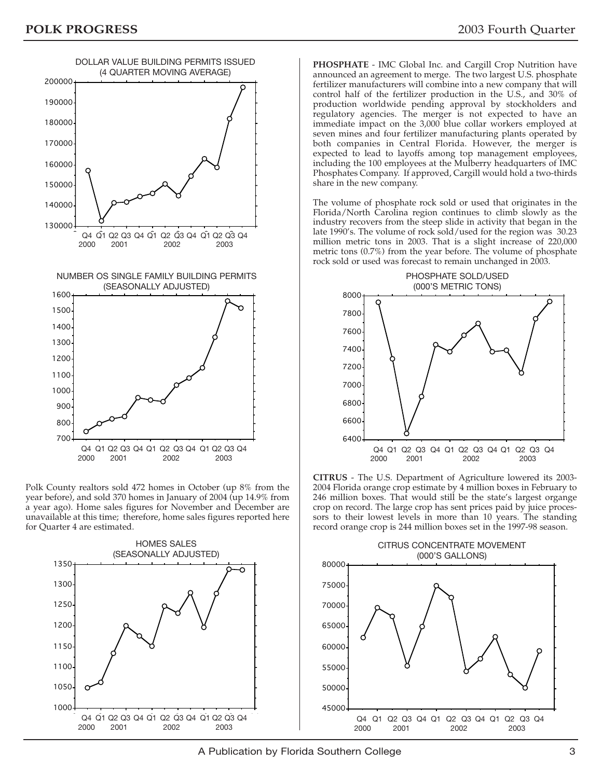

Polk County realtors sold 472 homes in October (up 8% from the year before), and sold 370 homes in January of 2004 (up 14.9% from a year ago). Home sales figures for November and December are unavailable at this time; therefore, home sales figures reported here for Quarter 4 are estimated.



**PHOSPHATE** - IMC Global Inc. and Cargill Crop Nutrition have announced an agreement to merge. The two largest U.S. phosphate fertilizer manufacturers will combine into a new company that will control half of the fertilizer production in the U.S., and 30% of production worldwide pending approval by stockholders and regulatory agencies. The merger is not expected to have an immediate impact on the 3,000 blue collar workers employed at seven mines and four fertilizer manufacturing plants operated by both companies in Central Florida. However, the merger is expected to lead to layoffs among top management employees, including the 100 employees at the Mulberry headquarters of IMC Phosphates Company. If approved, Cargill would hold a two-thirds share in the new company.

The volume of phosphate rock sold or used that originates in the Florida/North Carolina region continues to climb slowly as the industry recovers from the steep slide in activity that began in the late 1990's. The volume of rock sold/used for the region was 30.23 million metric tons in 2003. That is a slight increase of 220,000 metric tons (0.7%) from the year before. The volume of phosphate rock sold or used was forecast to remain unchanged in 2003.



**CITRUS** - The U.S. Department of Agriculture lowered its 2003- 2004 Florida orange crop estimate by 4 million boxes in February to 246 million boxes. That would still be the state's largest organge crop on record. The large crop has sent prices paid by juice processors to their lowest levels in more than 10 years. The standing record orange crop is 244 million boxes set in the 1997-98 season.



A Publication by Florida Southern College 33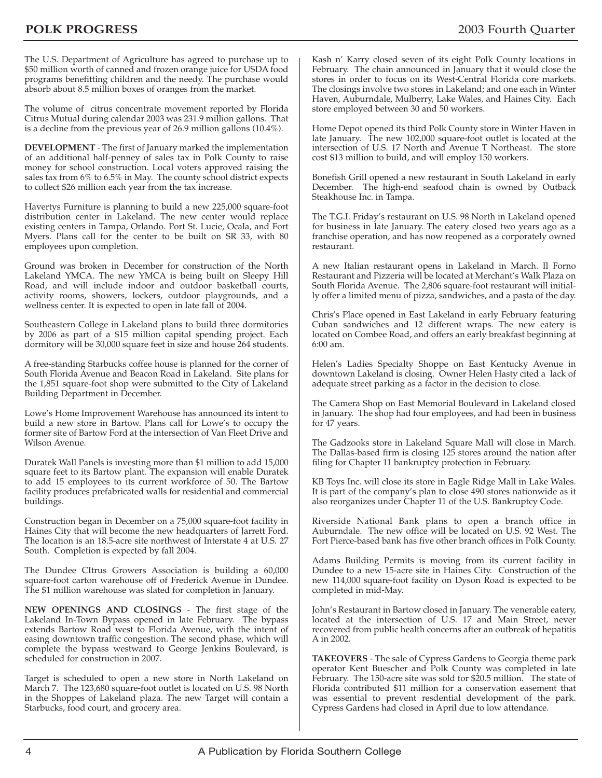The U.S. Department of Agriculture has agreed to purchase up to \$50 million worth of canned and frozen orange juice for USDA food programs benefitting children and the needy. The purchase would absorb about 8.5 million boxes of oranges from the market.

The volume of citrus concentrate movement reported by Florida Citrus Mutual during calendar 2003 was 231.9 million gallons. That is a decline from the previous year of 26.9 million gallons (10.4%).

**DEVELOPMENT** - The first of January marked the implementation of an additional half-penney of sales tax in Polk County to raise money for school construction. Local voters approved raising the sales tax from 6% to 6.5% in May. The county school district expects to collect \$26 million each year from the tax increase.

Havertys Furniture is planning to build a new 225,000 square-foot distribution center in Lakeland. The new center would replace existing centers in Tampa, Orlando. Port St. Lucie, Ocala, and Fort Myers. Plans call for the center to be built on SR 33, with 80 employees upon completion.

Ground was broken in December for construction of the North Lakeland YMCA. The new YMCA is being built on Sleepy Hill Road, and will include indoor and outdoor basketball courts, activity rooms, showers, lockers, outdoor playgrounds, and a wellness center. It is expected to open in late fall of 2004.

Southeastern College in Lakeland plans to build three dormitories by 2006 as part of a \$15 million capital spending project. Each dormitory will be 30,000 square feet in size and house 264 students.

A free-standing Starbucks coffee house is planned for the corner of South Florida Avenue and Beacon Road in Lakeland. Site plans for the 1,851 square-foot shop were submitted to the City of Lakeland Building Department in December.

Lowe's Home Improvement Warehouse has announced its intent to build a new store in Bartow. Plans call for Lowe's to occupy the former site of Bartow Ford at the intersection of Van Fleet Drive and Wilson Avenue.

Duratek Wall Panels is investing more than \$1 million to add 15,000 square feet to its Bartow plant. The expansion will enable Duratek to add 15 employees to its current workforce of 50. The Bartow facility produces prefabricated walls for residential and commercial buildings.

Construction began in December on a 75,000 square-foot facility in Haines City that will become the new headquarters of Jarrett Ford. The location is an 18.5-acre site northwest of Interstate 4 at U.S. 27 South. Completion is expected by fall 2004.

The Dundee CItrus Growers Association is building a 60,000 square-foot carton warehouse off of Frederick Avenue in Dundee. The \$1 million warehouse was slated for completion in January.

**NEW OPENINGS AND CLOSINGS** - The first stage of the Lakeland In-Town Bypass opened in late February. The bypass extends Bartow Road west to Florida Avenue, with the intent of easing downtown traffic congestion. The second phase, which will complete the bypass westward to George Jenkins Boulevard, is scheduled for construction in 2007.

Target is scheduled to open a new store in North Lakeland on March 7. The 123,680 square-foot outlet is located on U.S. 98 North in the Shoppes of Lakeland plaza. The new Target will contain a Starbucks, food court, and grocery area.

Kash n' Karry closed seven of its eight Polk County locations in February. The chain announced in January that it would close the stores in order to focus on its West-Central Florida core markets. The closings involve two stores in Lakeland; and one each in Winter Haven, Auburndale, Mulberry, Lake Wales, and Haines City. Each store employed between 30 and 50 workers.

Home Depot opened its third Polk County store in Winter Haven in late January. The new 102,000 square-foot outlet is located at the intersection of U.S. 17 North and Avenue T Northeast. The store cost \$13 million to build, and will employ 150 workers.

Bonefish Grill opened a new restaurant in South Lakeland in early December. The high-end seafood chain is owned by Outback Steakhouse Inc. in Tampa.

The T.G.I. Friday's restaurant on U.S. 98 North in Lakeland opened for business in late January. The eatery closed two years ago as a franchise operation, and has now reopened as a corporately owned restaurant.

A new Italian restaurant opens in Lakeland in March. Il Forno Restaurant and Pizzeria will be located at Merchant's Walk Plaza on South Florida Avenue. The 2,806 square-foot restaurant will initially offer a limited menu of pizza, sandwiches, and a pasta of the day.

Chris's Place opened in East Lakeland in early February featuring Cuban sandwiches and 12 different wraps. The new eatery is located on Combee Road, and offers an early breakfast beginning at 6:00 am.

Helen's Ladies Specialty Shoppe on East Kentucky Avenue in downtown Lakeland is closing. Owner Helen Hasty cited a lack of adequate street parking as a factor in the decision to close.

The Camera Shop on East Memorial Boulevard in Lakeland closed in January. The shop had four employees, and had been in business for 47 years.

The Gadzooks store in Lakeland Square Mall will close in March. The Dallas-based firm is closing 125 stores around the nation after filing for Chapter 11 bankruptcy protection in February.

KB Toys Inc. will close its store in Eagle Ridge Mall in Lake Wales. It is part of the company's plan to close 490 stores nationwide as it also reorganizes under Chapter 11 of the U.S. Bankruptcy Code.

Riverside National Bank plans to open a branch office in Auburndale. The new office will be located on U.S. 92 West. The Fort Pierce-based bank has five other branch offices in Polk County.

Adams Building Permits is moving from its current facility in Dundee to a new 15-acre site in Haines City. Construction of the new 114,000 square-foot facility on Dyson Road is expected to be completed in mid-May.

John's Restaurant in Bartow closed in January. The venerable eatery, located at the intersection of U.S. 17 and Main Street, never recovered from public health concerns after an outbreak of hepatitis A in 2002.

**TAKEOVERS** - The sale of Cypress Gardens to Georgia theme park operator Kent Buescher and Polk County was completed in late February. The 150-acre site was sold for \$20.5 million. The state of Florida contributed \$11 million for a conservation easement that was essential to prevent resdential development of the park. Cypress Gardens had closed in April due to low attendance.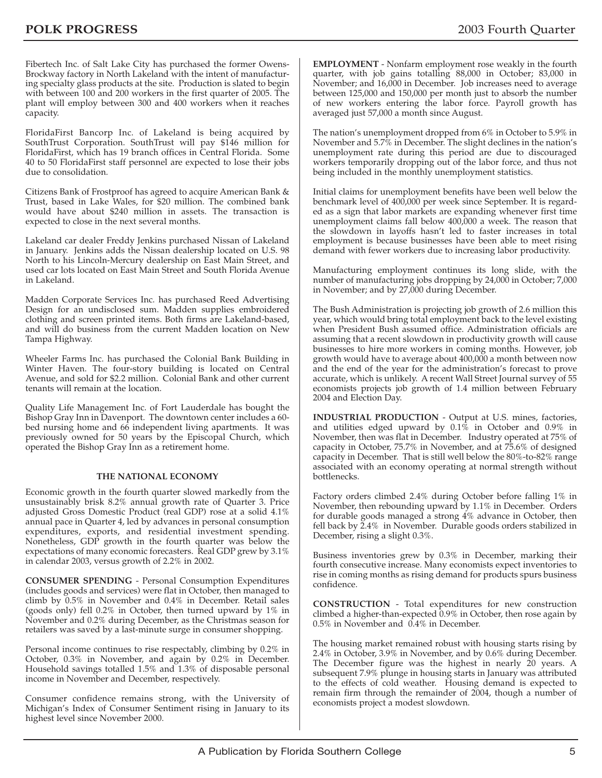Fibertech Inc. of Salt Lake City has purchased the former Owens-Brockway factory in North Lakeland with the intent of manufacturing specialty glass products at the site. Production is slated to begin with between 100 and 200 workers in the first quarter of 2005. The plant will employ between 300 and 400 workers when it reaches capacity.

FloridaFirst Bancorp Inc. of Lakeland is being acquired by SouthTrust Corporation. SouthTrust will pay \$146 million for FloridaFirst, which has 19 branch offices in Central Florida. Some 40 to 50 FloridaFirst staff personnel are expected to lose their jobs due to consolidation.

Citizens Bank of Frostproof has agreed to acquire American Bank & Trust, based in Lake Wales, for \$20 million. The combined bank would have about \$240 million in assets. The transaction is expected to close in the next several months.

Lakeland car dealer Freddy Jenkins purchased Nissan of Lakeland in January. Jenkins adds the Nissan dealership located on U.S. 98 North to his Lincoln-Mercury dealership on East Main Street, and used car lots located on East Main Street and South Florida Avenue in Lakeland.

Madden Corporate Services Inc. has purchased Reed Advertising Design for an undisclosed sum. Madden supplies embroidered clothing and screen printed items. Both firms are Lakeland-based, and will do business from the current Madden location on New Tampa Highway.

Wheeler Farms Inc. has purchased the Colonial Bank Building in Winter Haven. The four-story building is located on Central Avenue, and sold for \$2.2 million. Colonial Bank and other current tenants will remain at the location.

Quality Life Management Inc. of Fort Lauderdale has bought the Bishop Gray Inn in Davenport. The downtown center includes a 60 bed nursing home and 66 independent living apartments. It was previously owned for 50 years by the Episcopal Church, which operated the Bishop Gray Inn as a retirement home.

#### **THE NATIONAL ECONOMY**

Economic growth in the fourth quarter slowed markedly from the unsustainably brisk 8.2% annual growth rate of Quarter 3. Price adjusted Gross Domestic Product (real GDP) rose at a solid 4.1% annual pace in Quarter 4, led by advances in personal consumption expenditures, exports, and residential investment spending. Nonetheless, GDP growth in the fourth quarter was below the expectations of many economic forecasters. Real GDP grew by 3.1% in calendar 2003, versus growth of 2.2% in 2002.

**CONSUMER SPENDING** - Personal Consumption Expenditures (includes goods and services) were flat in October, then managed to climb by 0.5% in November and 0.4% in December. Retail sales (goods only) fell 0.2% in October, then turned upward by 1% in November and 0.2% during December, as the Christmas season for retailers was saved by a last-minute surge in consumer shopping.

Personal income continues to rise respectably, climbing by 0.2% in October, 0.3% in November, and again by 0.2% in December. Household savings totalled 1.5% and 1.3% of disposable personal income in November and December, respectively.

Consumer confidence remains strong, with the University of Michigan's Index of Consumer Sentiment rising in January to its highest level since November 2000.

**EMPLOYMENT** - Nonfarm employment rose weakly in the fourth quarter, with job gains totalling 88,000 in October; 83,000 in November; and 16,000 in December. Job increases need to average between 125,000 and 150,000 per month just to absorb the number of new workers entering the labor force. Payroll growth has averaged just 57,000 a month since August.

The nation's unemployment dropped from 6% in October to 5.9% in November and 5.7% in December. The slight declines in the nation's unemployment rate during this period are due to discouraged workers temporarily dropping out of the labor force, and thus not being included in the monthly unemployment statistics.

Initial claims for unemployment benefits have been well below the benchmark level of 400,000 per week since September. It is regarded as a sign that labor markets are expanding whenever first time unemployment claims fall below 400,000 a week. The reason that the slowdown in layoffs hasn't led to faster increases in total employment is because businesses have been able to meet rising demand with fewer workers due to increasing labor productivity.

Manufacturing employment continues its long slide, with the number of manufacturing jobs dropping by 24,000 in October; 7,000 in November; and by 27,000 during December.

The Bush Administration is projecting job growth of 2.6 million this year, which would bring total employment back to the level existing when President Bush assumed office. Administration officials are assuming that a recent slowdown in productivity growth will cause businesses to hire more workers in coming months. However, job growth would have to average about 400,000 a month between now and the end of the year for the administration's forecast to prove accurate, which is unlikely. A recent Wall Street Journal survey of 55 economists projects job growth of 1.4 million between February 2004 and Election Day.

**INDUSTRIAL PRODUCTION** - Output at U.S. mines, factories, and utilities edged upward by  $0.1\%$  in October and  $0.9\%$  in November, then was flat in December. Industry operated at 75% of capacity in October, 75.7% in November, and at 75.6% of designed capacity in December. That is still well below the 80%-to-82% range associated with an economy operating at normal strength without bottlenecks.

Factory orders climbed 2.4% during October before falling 1% in November, then rebounding upward by 1.1% in December. Orders for durable goods managed a strong 4% advance in October, then fell back by 2.4% in November. Durable goods orders stabilized in December, rising a slight 0.3%.

Business inventories grew by 0.3% in December, marking their fourth consecutive increase. Many economists expect inventories to rise in coming months as rising demand for products spurs business confidence.

**CONSTRUCTION** - Total expenditures for new construction climbed a higher-than-expected 0.9% in October, then rose again by 0.5% in November and 0.4% in December.

The housing market remained robust with housing starts rising by 2.4% in October, 3.9% in November, and by 0.6% during December. The December figure was the highest in nearly 20 years. A subsequent 7.9% plunge in housing starts in January was attributed to the effects of cold weather. Housing demand is expected to remain firm through the remainder of 2004, though a number of economists project a modest slowdown.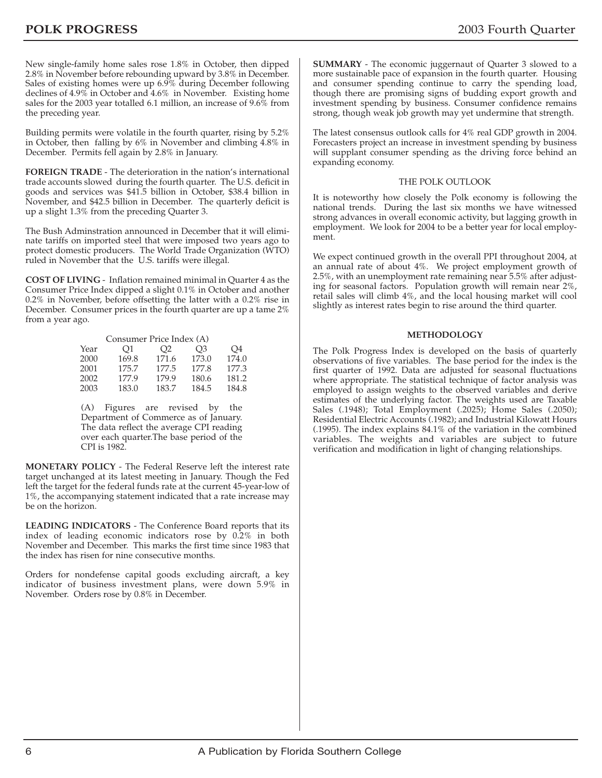New single-family home sales rose 1.8% in October, then dipped 2.8% in November before rebounding upward by 3.8% in December. Sales of existing homes were up 6.9% during December following declines of 4.9% in October and 4.6% in November. Existing home sales for the 2003 year totalled 6.1 million, an increase of 9.6% from the preceding year.

Building permits were volatile in the fourth quarter, rising by 5.2% in October, then falling by 6% in November and climbing 4.8% in December. Permits fell again by 2.8% in January.

**FOREIGN TRADE** - The deterioration in the nation's international trade accounts slowed during the fourth quarter. The U.S. deficit in goods and services was \$41.5 billion in October, \$38.4 billion in November, and \$42.5 billion in December. The quarterly deficit is up a slight 1.3% from the preceding Quarter 3.

The Bush Adminstration announced in December that it will eliminate tariffs on imported steel that were imposed two years ago to protect domestic producers. The World Trade Organization (WTO) ruled in November that the U.S. tariffs were illegal.

**COST OF LIVING** - Inflation remained minimal in Quarter 4 as the Consumer Price Index dipped a slight 0.1% in October and another 0.2% in November, before offsetting the latter with a 0.2% rise in December. Consumer prices in the fourth quarter are up a tame 2% from a year ago.

| Consumer Price Index (A) |       |       |                |       |  |  |  |  |  |  |
|--------------------------|-------|-------|----------------|-------|--|--|--|--|--|--|
| Year                     | O1    | O2    | O <sub>3</sub> | O4    |  |  |  |  |  |  |
| 2000                     | 169.8 | 171.6 | 173.0          | 174.0 |  |  |  |  |  |  |
| 2001                     | 175.7 | 177.5 | 177.8          | 177.3 |  |  |  |  |  |  |
| 2002                     | 177.9 | 179.9 | 180.6          | 181.2 |  |  |  |  |  |  |
| 2003                     | 183.0 | 183.7 | 184.5          | 184.8 |  |  |  |  |  |  |

(A) Figures are revised by the Department of Commerce as of January. The data reflect the average CPI reading over each quarter.The base period of the CPI is 1982.

**MONETARY POLICY** - The Federal Reserve left the interest rate target unchanged at its latest meeting in January. Though the Fed left the target for the federal funds rate at the current 45-year-low of 1%, the accompanying statement indicated that a rate increase may be on the horizon.

**LEADING INDICATORS** - The Conference Board reports that its index of leading economic indicators rose by 0.2% in both November and December. This marks the first time since 1983 that the index has risen for nine consecutive months.

Orders for nondefense capital goods excluding aircraft, a key indicator of business investment plans, were down 5.9% in November. Orders rose by 0.8% in December.

**SUMMARY** - The economic juggernaut of Quarter 3 slowed to a more sustainable pace of expansion in the fourth quarter. Housing and consumer spending continue to carry the spending load, though there are promising signs of budding export growth and investment spending by business. Consumer confidence remains strong, though weak job growth may yet undermine that strength.

The latest consensus outlook calls for 4% real GDP growth in 2004. Forecasters project an increase in investment spending by business will supplant consumer spending as the driving force behind an expanding economy.

#### THE POLK OUTLOOK

It is noteworthy how closely the Polk economy is following the national trends. During the last six months we have witnessed strong advances in overall economic activity, but lagging growth in employment. We look for 2004 to be a better year for local employment.

We expect continued growth in the overall PPI throughout 2004, at an annual rate of about 4%. We project employment growth of 2.5%, with an unemployment rate remaining near 5.5% after adjusting for seasonal factors. Population growth will remain near 2%, retail sales will climb 4%, and the local housing market will cool slightly as interest rates begin to rise around the third quarter.

#### **METHODOLOGY**

The Polk Progress Index is developed on the basis of quarterly observations of five variables. The base period for the index is the first quarter of 1992. Data are adjusted for seasonal fluctuations where appropriate. The statistical technique of factor analysis was employed to assign weights to the observed variables and derive estimates of the underlying factor. The weights used are Taxable Sales (.1948); Total Employment (.2025); Home Sales (.2050); Residential Electric Accounts (.1982); and Industrial Kilowatt Hours (.1995). The index explains 84.1% of the variation in the combined variables. The weights and variables are subject to future verification and modification in light of changing relationships.